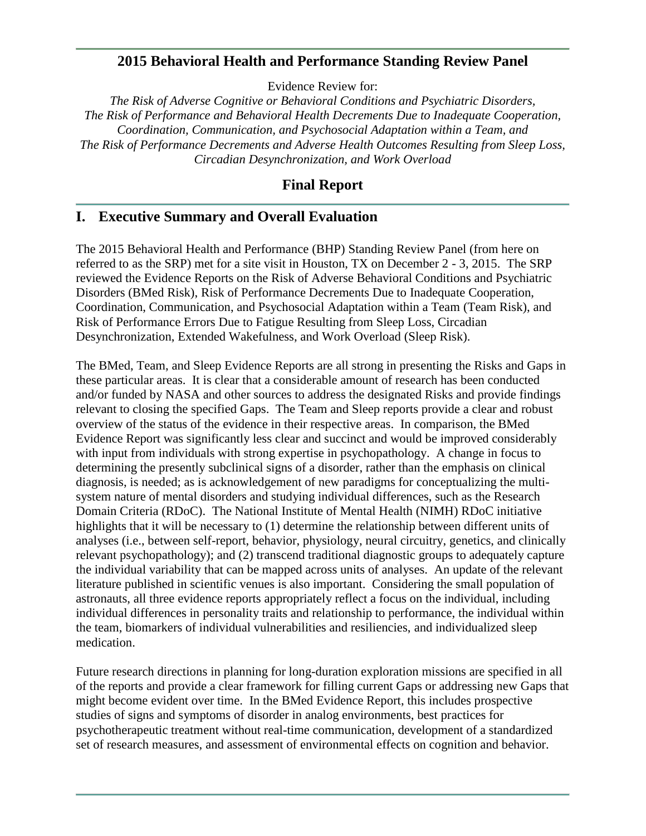## **2015 Behavioral Health and Performance Standing Review Panel**

Evidence Review for:

*The Risk of Adverse Cognitive or Behavioral Conditions and Psychiatric Disorders, The Risk of Performance and Behavioral Health Decrements Due to Inadequate Cooperation, Coordination, Communication, and Psychosocial Adaptation within a Team, and The Risk of Performance Decrements and Adverse Health Outcomes Resulting from Sleep Loss, Circadian Desynchronization, and Work Overload*

## **Final Report**

# **I. Executive Summary and Overall Evaluation**

The 2015 Behavioral Health and Performance (BHP) Standing Review Panel (from here on referred to as the SRP) met for a site visit in Houston, TX on December 2 - 3, 2015. The SRP reviewed the Evidence Reports on the Risk of Adverse Behavioral Conditions and Psychiatric Disorders (BMed Risk), Risk of Performance Decrements Due to Inadequate Cooperation, Coordination, Communication, and Psychosocial Adaptation within a Team (Team Risk), and Risk of Performance Errors Due to Fatigue Resulting from Sleep Loss, Circadian Desynchronization, Extended Wakefulness, and Work Overload (Sleep Risk).

The BMed, Team, and Sleep Evidence Reports are all strong in presenting the Risks and Gaps in these particular areas. It is clear that a considerable amount of research has been conducted and/or funded by NASA and other sources to address the designated Risks and provide findings relevant to closing the specified Gaps. The Team and Sleep reports provide a clear and robust overview of the status of the evidence in their respective areas. In comparison, the BMed Evidence Report was significantly less clear and succinct and would be improved considerably with input from individuals with strong expertise in psychopathology. A change in focus to determining the presently subclinical signs of a disorder, rather than the emphasis on clinical diagnosis, is needed; as is acknowledgement of new paradigms for conceptualizing the multisystem nature of mental disorders and studying individual differences, such as the Research Domain Criteria (RDoC). The National Institute of Mental Health (NIMH) RDoC initiative highlights that it will be necessary to (1) determine the relationship between different units of analyses (i.e., between self-report, behavior, physiology, neural circuitry, genetics, and clinically relevant psychopathology); and (2) transcend traditional diagnostic groups to adequately capture the individual variability that can be mapped across units of analyses. An update of the relevant literature published in scientific venues is also important. Considering the small population of astronauts, all three evidence reports appropriately reflect a focus on the individual, including individual differences in personality traits and relationship to performance, the individual within the team, biomarkers of individual vulnerabilities and resiliencies, and individualized sleep medication.

Future research directions in planning for long-duration exploration missions are specified in all of the reports and provide a clear framework for filling current Gaps or addressing new Gaps that might become evident over time. In the BMed Evidence Report, this includes prospective studies of signs and symptoms of disorder in analog environments, best practices for psychotherapeutic treatment without real-time communication, development of a standardized set of research measures, and assessment of environmental effects on cognition and behavior.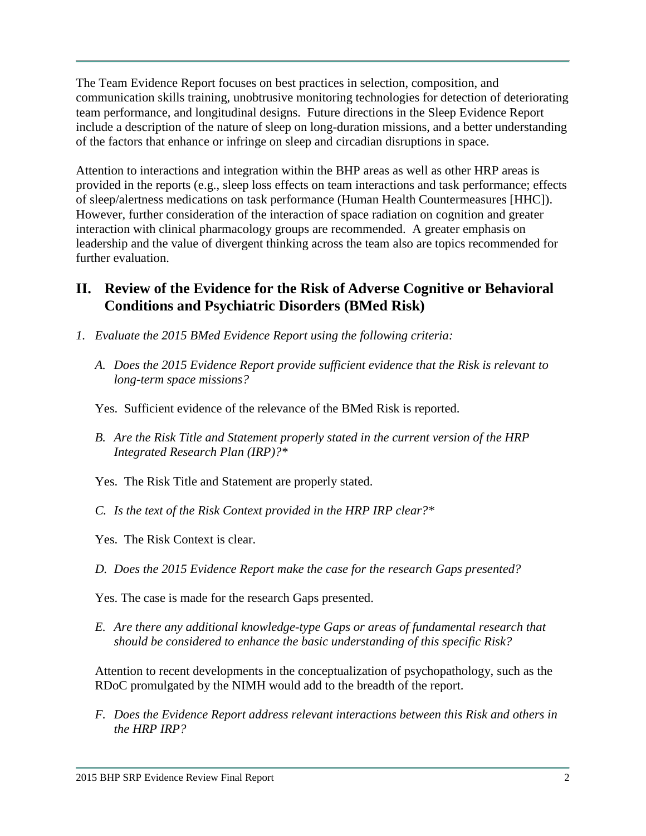The Team Evidence Report focuses on best practices in selection, composition, and communication skills training, unobtrusive monitoring technologies for detection of deteriorating team performance, and longitudinal designs. Future directions in the Sleep Evidence Report include a description of the nature of sleep on long-duration missions, and a better understanding of the factors that enhance or infringe on sleep and circadian disruptions in space.

Attention to interactions and integration within the BHP areas as well as other HRP areas is provided in the reports (e.g., sleep loss effects on team interactions and task performance; effects of sleep/alertness medications on task performance (Human Health Countermeasures [HHC]). However, further consideration of the interaction of space radiation on cognition and greater interaction with clinical pharmacology groups are recommended. A greater emphasis on leadership and the value of divergent thinking across the team also are topics recommended for further evaluation.

# **II. Review of the Evidence for the Risk of Adverse Cognitive or Behavioral Conditions and Psychiatric Disorders (BMed Risk)**

- *1. Evaluate the 2015 BMed Evidence Report using the following criteria:*
	- *A. Does the 2015 Evidence Report provide sufficient evidence that the Risk is relevant to long-term space missions?*

Yes. Sufficient evidence of the relevance of the BMed Risk is reported.

- *B. Are the Risk Title and Statement properly stated in the current version of the HRP Integrated Research Plan (IRP)?\**
- Yes. The Risk Title and Statement are properly stated.
- *C. Is the text of the Risk Context provided in the HRP IRP clear?\**
- Yes. The Risk Context is clear.
- *D. Does the 2015 Evidence Report make the case for the research Gaps presented?*

Yes. The case is made for the research Gaps presented.

*E. Are there any additional knowledge-type Gaps or areas of fundamental research that should be considered to enhance the basic understanding of this specific Risk?*

Attention to recent developments in the conceptualization of psychopathology, such as the RDoC promulgated by the NIMH would add to the breadth of the report.

*F. Does the Evidence Report address relevant interactions between this Risk and others in the HRP IRP?*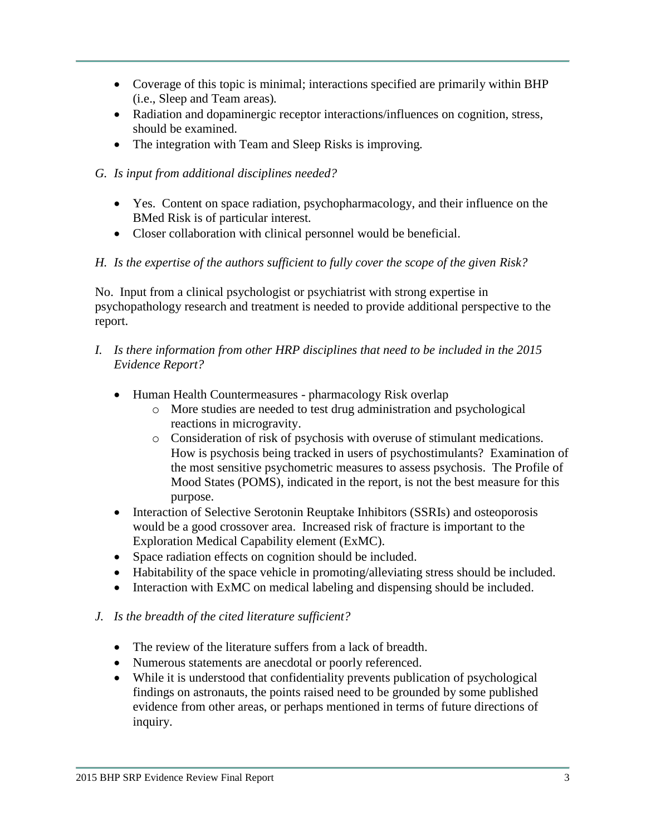- Coverage of this topic is minimal; interactions specified are primarily within BHP (i.e., Sleep and Team areas)*.*
- Radiation and dopaminergic receptor interactions/influences on cognition, stress, should be examined.
- The integration with Team and Sleep Risks is improving*.*
- *G. Is input from additional disciplines needed?*
	- Yes. Content on space radiation, psychopharmacology, and their influence on the BMed Risk is of particular interest*.*
	- Closer collaboration with clinical personnel would be beneficial.

## *H. Is the expertise of the authors sufficient to fully cover the scope of the given Risk?*

No. Input from a clinical psychologist or psychiatrist with strong expertise in psychopathology research and treatment is needed to provide additional perspective to the report.

- *I. Is there information from other HRP disciplines that need to be included in the 2015 Evidence Report?*
	- Human Health Countermeasures pharmacology Risk overlap
		- o More studies are needed to test drug administration and psychological reactions in microgravity.
		- o Consideration of risk of psychosis with overuse of stimulant medications. How is psychosis being tracked in users of psychostimulants? Examination of the most sensitive psychometric measures to assess psychosis. The Profile of Mood States (POMS), indicated in the report, is not the best measure for this purpose.
	- Interaction of Selective Serotonin Reuptake Inhibitors (SSRIs) and osteoporosis would be a good crossover area. Increased risk of fracture is important to the Exploration Medical Capability element (ExMC).
	- Space radiation effects on cognition should be included.
	- Habitability of the space vehicle in promoting/alleviating stress should be included.
	- Interaction with ExMC on medical labeling and dispensing should be included.
- *J. Is the breadth of the cited literature sufficient?*
	- The review of the literature suffers from a lack of breadth.
	- Numerous statements are anecdotal or poorly referenced.
	- While it is understood that confidentiality prevents publication of psychological findings on astronauts, the points raised need to be grounded by some published evidence from other areas, or perhaps mentioned in terms of future directions of inquiry.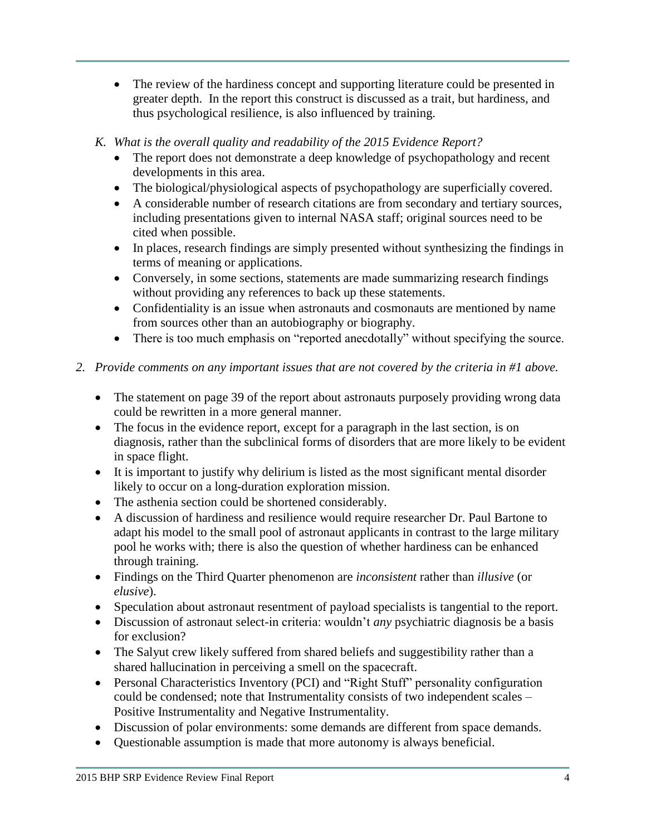- The review of the hardiness concept and supporting literature could be presented in greater depth. In the report this construct is discussed as a trait, but hardiness, and thus psychological resilience, is also influenced by training.
- *K. What is the overall quality and readability of the 2015 Evidence Report?*
	- The report does not demonstrate a deep knowledge of psychopathology and recent developments in this area.
	- The biological/physiological aspects of psychopathology are superficially covered.
	- A considerable number of research citations are from secondary and tertiary sources, including presentations given to internal NASA staff; original sources need to be cited when possible.
	- In places, research findings are simply presented without synthesizing the findings in terms of meaning or applications.
	- Conversely, in some sections, statements are made summarizing research findings without providing any references to back up these statements.
	- Confidentiality is an issue when astronauts and cosmonauts are mentioned by name from sources other than an autobiography or biography.
	- There is too much emphasis on "reported anecdotally" without specifying the source.
- *2. Provide comments on any important issues that are not covered by the criteria in #1 above.*
	- The statement on page 39 of the report about astronauts purposely providing wrong data could be rewritten in a more general manner.
	- The focus in the evidence report, except for a paragraph in the last section, is on diagnosis, rather than the subclinical forms of disorders that are more likely to be evident in space flight.
	- It is important to justify why delirium is listed as the most significant mental disorder likely to occur on a long-duration exploration mission.
	- The asthenia section could be shortened considerably.
	- A discussion of hardiness and resilience would require researcher Dr. Paul Bartone to adapt his model to the small pool of astronaut applicants in contrast to the large military pool he works with; there is also the question of whether hardiness can be enhanced through training.
	- Findings on the Third Quarter phenomenon are *inconsistent* rather than *illusive* (or *elusive*).
	- Speculation about astronaut resentment of payload specialists is tangential to the report.
	- Discussion of astronaut select-in criteria: wouldn't *any* psychiatric diagnosis be a basis for exclusion?
	- The Salyut crew likely suffered from shared beliefs and suggestibility rather than a shared hallucination in perceiving a smell on the spacecraft.
	- Personal Characteristics Inventory (PCI) and "Right Stuff" personality configuration could be condensed; note that Instrumentality consists of two independent scales – Positive Instrumentality and Negative Instrumentality.
	- Discussion of polar environments: some demands are different from space demands.
	- Questionable assumption is made that more autonomy is always beneficial.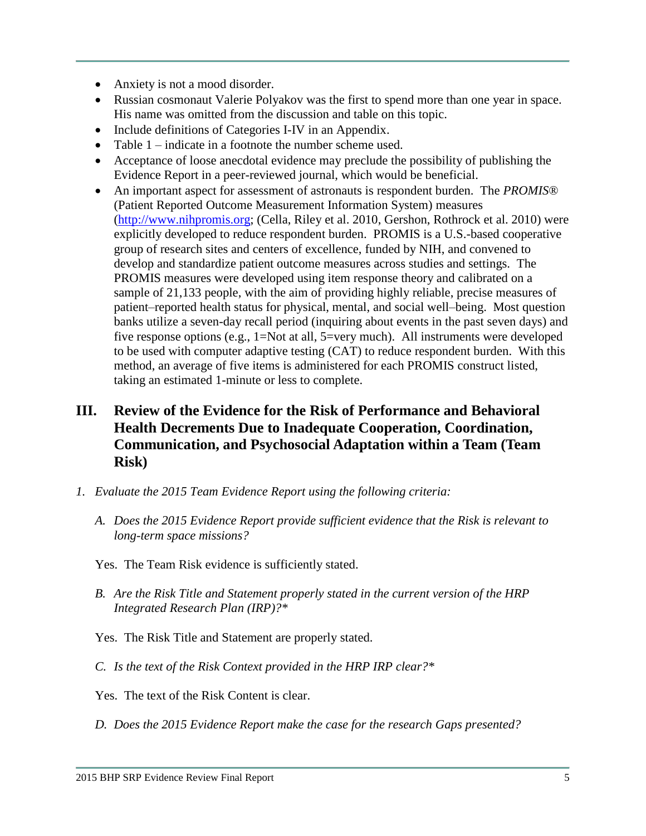- Anxiety is not a mood disorder.
- Russian cosmonaut Valerie Polyakov was the first to spend more than one year in space. His name was omitted from the discussion and table on this topic.
- Include definitions of Categories I-IV in an Appendix.
- Table 1 indicate in a footnote the number scheme used.
- Acceptance of loose anecdotal evidence may preclude the possibility of publishing the Evidence Report in a peer-reviewed journal, which would be beneficial.
- An important aspect for assessment of astronauts is respondent burden. The *PROMIS*® (Patient Reported Outcome Measurement Information System) measures [\(http://www.nihpromis.org;](http://www.nihpromis.org/) (Cella, Riley et al. 2010, Gershon, Rothrock et al. 2010) were explicitly developed to reduce respondent burden. PROMIS is a U.S.-based cooperative group of research sites and centers of excellence, funded by NIH, and convened to develop and standardize patient outcome measures across studies and settings. The PROMIS measures were developed using item response theory and calibrated on a sample of 21,133 people, with the aim of providing highly reliable, precise measures of patient–reported health status for physical, mental, and social well–being. Most question banks utilize a seven-day recall period (inquiring about events in the past seven days) and five response options (e.g., 1=Not at all, 5=very much). All instruments were developed to be used with computer adaptive testing (CAT) to reduce respondent burden. With this method, an average of five items is administered for each PROMIS construct listed, taking an estimated 1-minute or less to complete.

# **III. Review of the Evidence for the Risk of Performance and Behavioral Health Decrements Due to Inadequate Cooperation, Coordination, Communication, and Psychosocial Adaptation within a Team (Team Risk)**

- *1. Evaluate the 2015 Team Evidence Report using the following criteria:*
	- *A. Does the 2015 Evidence Report provide sufficient evidence that the Risk is relevant to long-term space missions?*
	- Yes. The Team Risk evidence is sufficiently stated.
	- *B. Are the Risk Title and Statement properly stated in the current version of the HRP Integrated Research Plan (IRP)?\**
	- Yes. The Risk Title and Statement are properly stated.
	- *C. Is the text of the Risk Context provided in the HRP IRP clear?\**
	- Yes. The text of the Risk Content is clear.
	- *D. Does the 2015 Evidence Report make the case for the research Gaps presented?*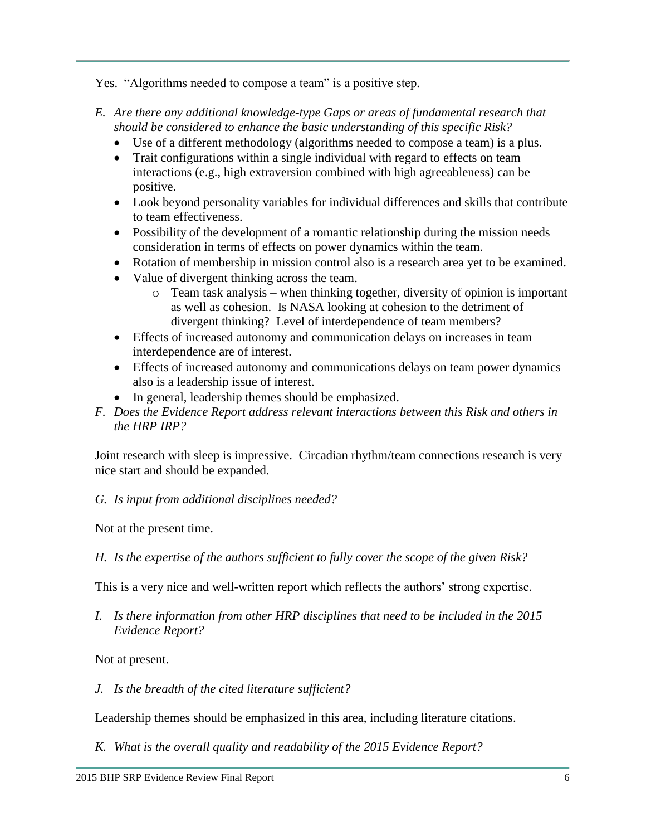Yes. "Algorithms needed to compose a team" is a positive step*.*

- *E. Are there any additional knowledge-type Gaps or areas of fundamental research that should be considered to enhance the basic understanding of this specific Risk?*
	- Use of a different methodology (algorithms needed to compose a team) is a plus.
	- Trait configurations within a single individual with regard to effects on team interactions (e.g., high extraversion combined with high agreeableness) can be positive.
	- Look beyond personality variables for individual differences and skills that contribute to team effectiveness.
	- Possibility of the development of a romantic relationship during the mission needs consideration in terms of effects on power dynamics within the team.
	- Rotation of membership in mission control also is a research area yet to be examined.
	- Value of divergent thinking across the team.
		- o Team task analysis when thinking together, diversity of opinion is important as well as cohesion. Is NASA looking at cohesion to the detriment of divergent thinking? Level of interdependence of team members?
	- Effects of increased autonomy and communication delays on increases in team interdependence are of interest.
	- Effects of increased autonomy and communications delays on team power dynamics also is a leadership issue of interest.
	- In general, leadership themes should be emphasized.
- *F. Does the Evidence Report address relevant interactions between this Risk and others in the HRP IRP?*

Joint research with sleep is impressive. Circadian rhythm/team connections research is very nice start and should be expanded.

*G. Is input from additional disciplines needed?*

Not at the present time.

*H. Is the expertise of the authors sufficient to fully cover the scope of the given Risk?*

This is a very nice and well-written report which reflects the authors' strong expertise.

*I. Is there information from other HRP disciplines that need to be included in the 2015 Evidence Report?*

Not at present.

*J. Is the breadth of the cited literature sufficient?*

Leadership themes should be emphasized in this area, including literature citations.

*K. What is the overall quality and readability of the 2015 Evidence Report?*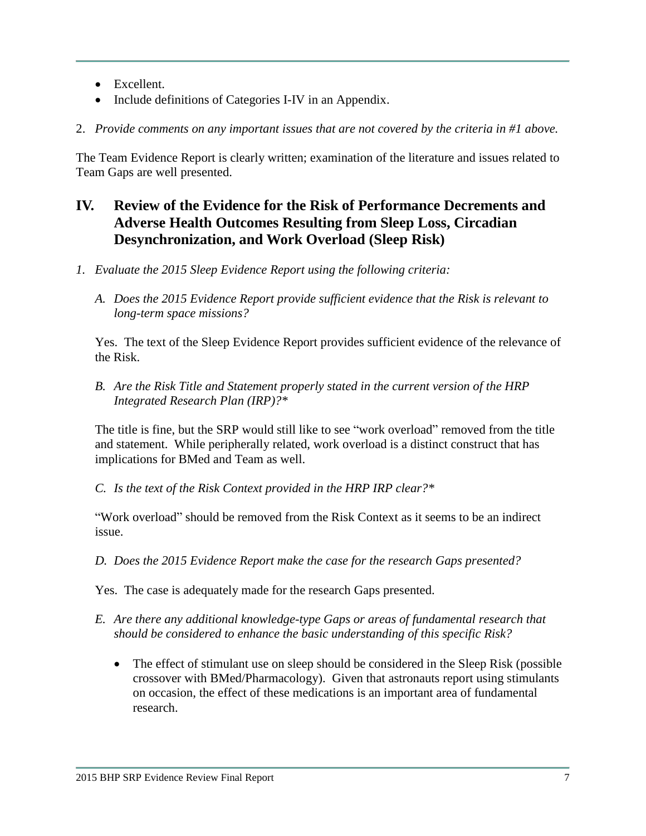- Excellent.
- Include definitions of Categories I-IV in an Appendix.
- 2. *Provide comments on any important issues that are not covered by the criteria in #1 above.*

The Team Evidence Report is clearly written; examination of the literature and issues related to Team Gaps are well presented.

# **IV. Review of the Evidence for the Risk of Performance Decrements and Adverse Health Outcomes Resulting from Sleep Loss, Circadian Desynchronization, and Work Overload (Sleep Risk)**

- *1. Evaluate the 2015 Sleep Evidence Report using the following criteria:*
	- *A. Does the 2015 Evidence Report provide sufficient evidence that the Risk is relevant to long-term space missions?*

Yes. The text of the Sleep Evidence Report provides sufficient evidence of the relevance of the Risk.

*B. Are the Risk Title and Statement properly stated in the current version of the HRP Integrated Research Plan (IRP)?\**

The title is fine, but the SRP would still like to see "work overload" removed from the title and statement. While peripherally related, work overload is a distinct construct that has implications for BMed and Team as well.

*C. Is the text of the Risk Context provided in the HRP IRP clear?\**

"Work overload" should be removed from the Risk Context as it seems to be an indirect issue.

*D. Does the 2015 Evidence Report make the case for the research Gaps presented?*

Yes. The case is adequately made for the research Gaps presented.

- *E. Are there any additional knowledge-type Gaps or areas of fundamental research that should be considered to enhance the basic understanding of this specific Risk?*
	- The effect of stimulant use on sleep should be considered in the Sleep Risk (possible crossover with BMed/Pharmacology). Given that astronauts report using stimulants on occasion, the effect of these medications is an important area of fundamental research.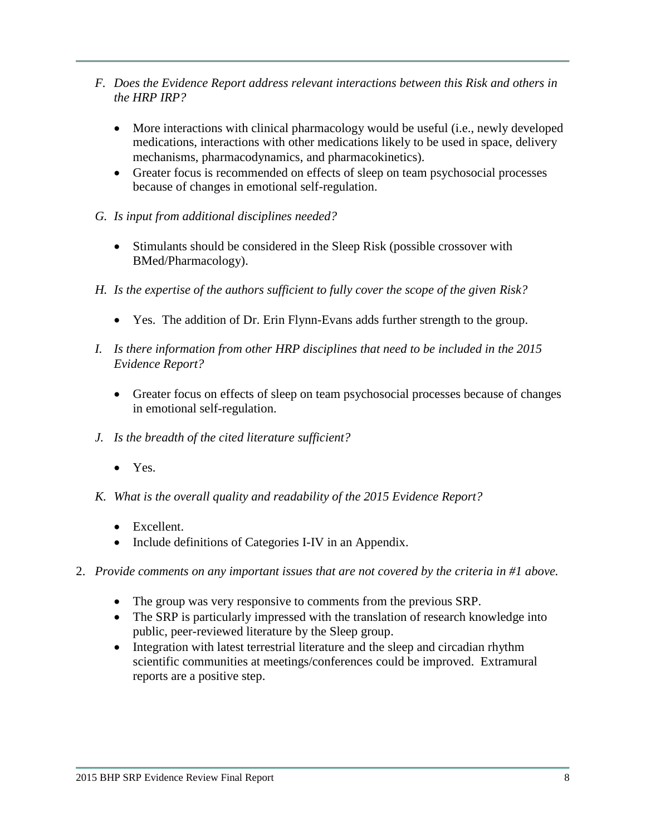- *F. Does the Evidence Report address relevant interactions between this Risk and others in the HRP IRP?*
	- More interactions with clinical pharmacology would be useful (i.e., newly developed medications, interactions with other medications likely to be used in space, delivery mechanisms, pharmacodynamics, and pharmacokinetics).
	- Greater focus is recommended on effects of sleep on team psychosocial processes because of changes in emotional self-regulation.
- *G. Is input from additional disciplines needed?*
	- Stimulants should be considered in the Sleep Risk (possible crossover with BMed/Pharmacology).
- *H. Is the expertise of the authors sufficient to fully cover the scope of the given Risk?*
	- Yes. The addition of Dr. Erin Flynn-Evans adds further strength to the group.
- *I. Is there information from other HRP disciplines that need to be included in the 2015 Evidence Report?*
	- Greater focus on effects of sleep on team psychosocial processes because of changes in emotional self-regulation.
- *J. Is the breadth of the cited literature sufficient?*
	- Yes.
- *K. What is the overall quality and readability of the 2015 Evidence Report?*
	- Excellent.
	- Include definitions of Categories I-IV in an Appendix.
- 2. *Provide comments on any important issues that are not covered by the criteria in #1 above.*
	- The group was very responsive to comments from the previous SRP.
	- The SRP is particularly impressed with the translation of research knowledge into public, peer-reviewed literature by the Sleep group.
	- Integration with latest terrestrial literature and the sleep and circadian rhythm scientific communities at meetings/conferences could be improved. Extramural reports are a positive step.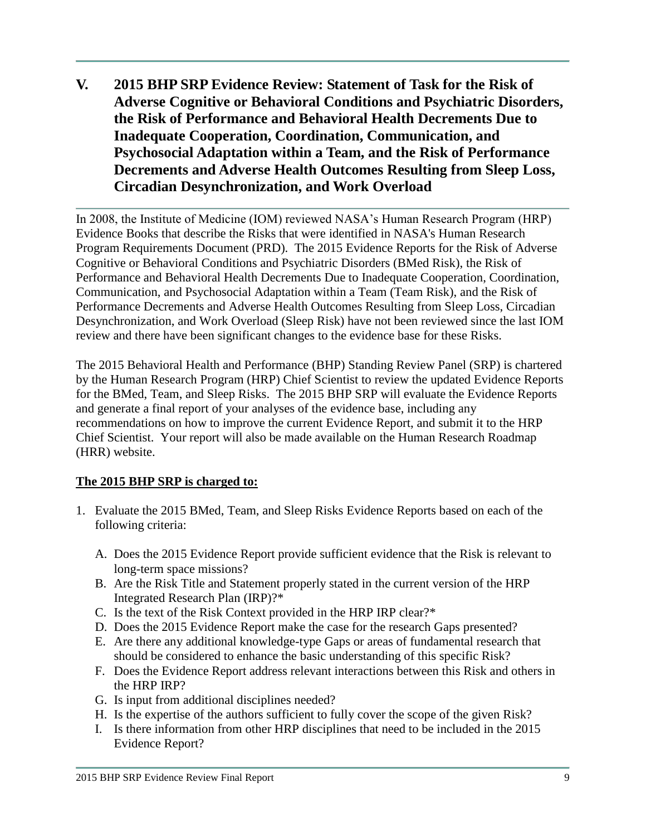**V. 2015 BHP SRP Evidence Review: Statement of Task for the Risk of Adverse Cognitive or Behavioral Conditions and Psychiatric Disorders, the Risk of Performance and Behavioral Health Decrements Due to Inadequate Cooperation, Coordination, Communication, and Psychosocial Adaptation within a Team, and the Risk of Performance Decrements and Adverse Health Outcomes Resulting from Sleep Loss, Circadian Desynchronization, and Work Overload**

In 2008, the Institute of Medicine (IOM) reviewed NASA's Human Research Program (HRP) Evidence Books that describe the Risks that were identified in NASA's Human Research Program Requirements Document (PRD). The 2015 Evidence Reports for the Risk of Adverse Cognitive or Behavioral Conditions and Psychiatric Disorders (BMed Risk), the Risk of Performance and Behavioral Health Decrements Due to Inadequate Cooperation, Coordination, Communication, and Psychosocial Adaptation within a Team (Team Risk), and the Risk of Performance Decrements and Adverse Health Outcomes Resulting from Sleep Loss, Circadian Desynchronization, and Work Overload (Sleep Risk) have not been reviewed since the last IOM review and there have been significant changes to the evidence base for these Risks.

The 2015 Behavioral Health and Performance (BHP) Standing Review Panel (SRP) is chartered by the Human Research Program (HRP) Chief Scientist to review the updated Evidence Reports for the BMed, Team, and Sleep Risks. The 2015 BHP SRP will evaluate the Evidence Reports and generate a final report of your analyses of the evidence base, including any recommendations on how to improve the current Evidence Report, and submit it to the HRP Chief Scientist. Your report will also be made available on the Human Research Roadmap (HRR) website.

## **The 2015 BHP SRP is charged to:**

- 1. Evaluate the 2015 BMed, Team, and Sleep Risks Evidence Reports based on each of the following criteria:
	- A. Does the 2015 Evidence Report provide sufficient evidence that the Risk is relevant to long-term space missions?
	- B. Are the Risk Title and Statement properly stated in the current version of the HRP Integrated Research Plan (IRP)?\*
	- C. Is the text of the Risk Context provided in the HRP IRP clear?\*
	- D. Does the 2015 Evidence Report make the case for the research Gaps presented?
	- E. Are there any additional knowledge-type Gaps or areas of fundamental research that should be considered to enhance the basic understanding of this specific Risk?
	- F. Does the Evidence Report address relevant interactions between this Risk and others in the HRP IRP?
	- G. Is input from additional disciplines needed?
	- H. Is the expertise of the authors sufficient to fully cover the scope of the given Risk?
	- I. Is there information from other HRP disciplines that need to be included in the 2015 Evidence Report?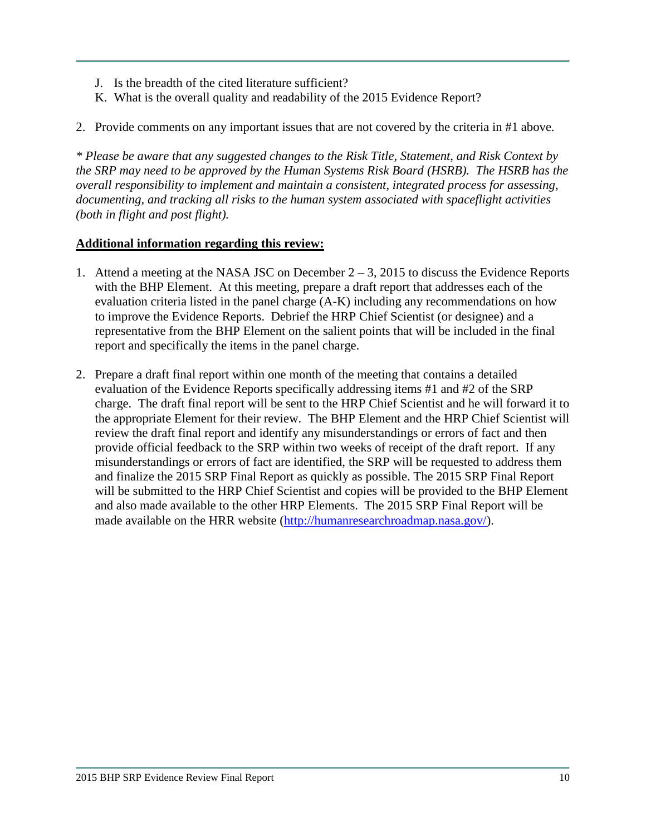- J. Is the breadth of the cited literature sufficient?
- K. What is the overall quality and readability of the 2015 Evidence Report?
- 2. Provide comments on any important issues that are not covered by the criteria in #1 above.

*\* Please be aware that any suggested changes to the Risk Title, Statement, and Risk Context by the SRP may need to be approved by the Human Systems Risk Board (HSRB). The HSRB has the overall responsibility to implement and maintain a consistent, integrated process for assessing, documenting, and tracking all risks to the human system associated with spaceflight activities (both in flight and post flight).* 

### **Additional information regarding this review:**

- 1. Attend a meeting at the NASA JSC on December  $2 3$ , 2015 to discuss the Evidence Reports with the BHP Element. At this meeting, prepare a draft report that addresses each of the evaluation criteria listed in the panel charge (A-K) including any recommendations on how to improve the Evidence Reports. Debrief the HRP Chief Scientist (or designee) and a representative from the BHP Element on the salient points that will be included in the final report and specifically the items in the panel charge.
- 2. Prepare a draft final report within one month of the meeting that contains a detailed evaluation of the Evidence Reports specifically addressing items #1 and #2 of the SRP charge. The draft final report will be sent to the HRP Chief Scientist and he will forward it to the appropriate Element for their review. The BHP Element and the HRP Chief Scientist will review the draft final report and identify any misunderstandings or errors of fact and then provide official feedback to the SRP within two weeks of receipt of the draft report. If any misunderstandings or errors of fact are identified, the SRP will be requested to address them and finalize the 2015 SRP Final Report as quickly as possible. The 2015 SRP Final Report will be submitted to the HRP Chief Scientist and copies will be provided to the BHP Element and also made available to the other HRP Elements. The 2015 SRP Final Report will be made available on the HRR website [\(http://humanresearchroadmap.nasa.gov/\)](http://humanresearchroadmap.nasa.gov/).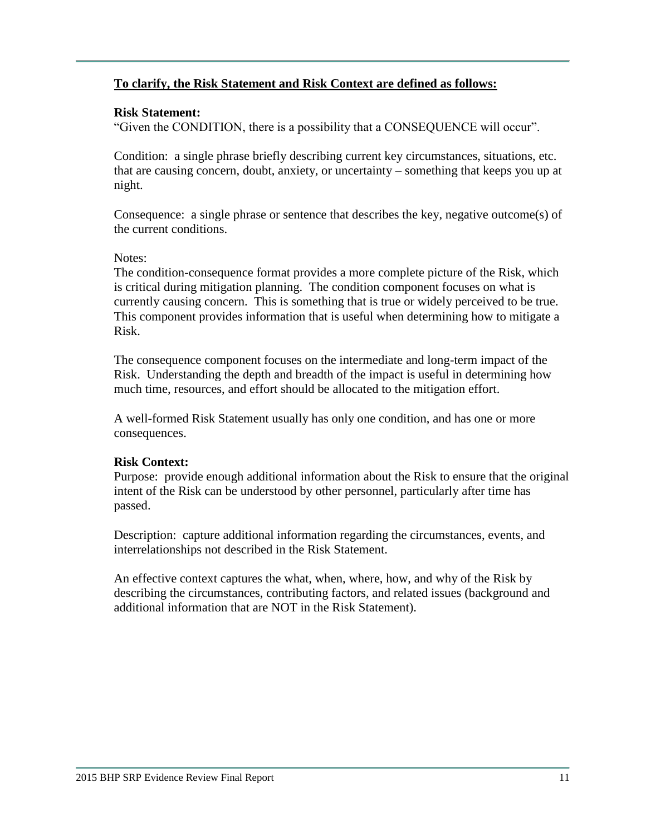### **To clarify, the Risk Statement and Risk Context are defined as follows:**

### **Risk Statement:**

"Given the CONDITION, there is a possibility that a CONSEQUENCE will occur".

Condition: a single phrase briefly describing current key circumstances, situations, etc. that are causing concern, doubt, anxiety, or uncertainty – something that keeps you up at night.

Consequence: a single phrase or sentence that describes the key, negative outcome(s) of the current conditions.

### Notes:

The condition-consequence format provides a more complete picture of the Risk, which is critical during mitigation planning. The condition component focuses on what is currently causing concern. This is something that is true or widely perceived to be true. This component provides information that is useful when determining how to mitigate a Risk.

The consequence component focuses on the intermediate and long-term impact of the Risk. Understanding the depth and breadth of the impact is useful in determining how much time, resources, and effort should be allocated to the mitigation effort.

A well-formed Risk Statement usually has only one condition, and has one or more consequences.

### **Risk Context:**

Purpose: provide enough additional information about the Risk to ensure that the original intent of the Risk can be understood by other personnel, particularly after time has passed.

Description: capture additional information regarding the circumstances, events, and interrelationships not described in the Risk Statement.

An effective context captures the what, when, where, how, and why of the Risk by describing the circumstances, contributing factors, and related issues (background and additional information that are NOT in the Risk Statement).